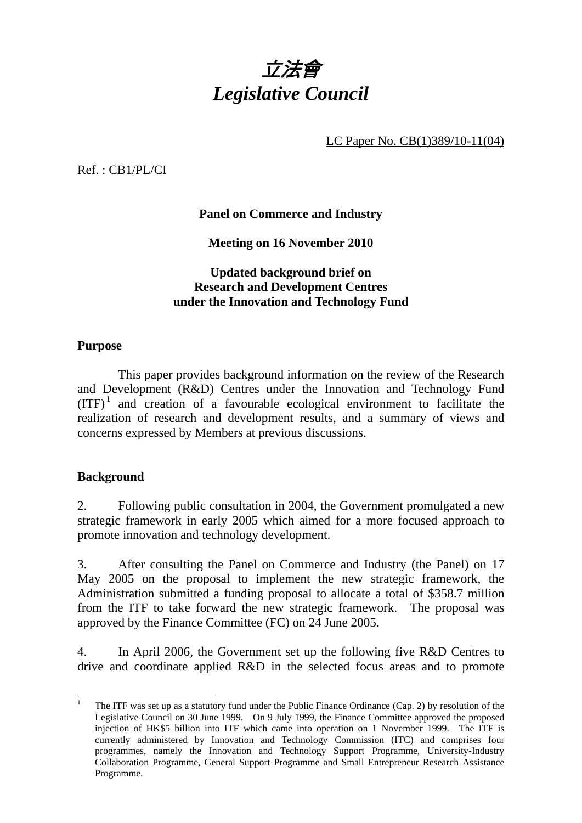

LC Paper No. CB(1)389/10-11(04)

Ref. : CB1/PL/CI

**Panel on Commerce and Industry** 

**Meeting on 16 November 2010** 

## **Updated background brief on Research and Development Centres under the Innovation and Technology Fund**

## **Purpose**

 This paper provides background information on the review of the Research and Development (R&D) Centres under the Innovation and Technology Fund  $(ITF)<sup>1</sup>$  and creation of a favourable ecological environment to facilitate the realization of research and development results, and a summary of views and concerns expressed by Members at previous discussions.

## **Background**

2. Following public consultation in 2004, the Government promulgated a new strategic framework in early 2005 which aimed for a more focused approach to promote innovation and technology development.

3. After consulting the Panel on Commerce and Industry (the Panel) on 17 May 2005 on the proposal to implement the new strategic framework, the Administration submitted a funding proposal to allocate a total of \$358.7 million from the ITF to take forward the new strategic framework. The proposal was approved by the Finance Committee (FC) on 24 June 2005.

4. In April 2006, the Government set up the following five R&D Centres to drive and coordinate applied R&D in the selected focus areas and to promote

 $\frac{1}{1}$  The ITF was set up as a statutory fund under the Public Finance Ordinance (Cap. 2) by resolution of the Legislative Council on 30 June 1999. On 9 July 1999, the Finance Committee approved the proposed injection of HK\$5 billion into ITF which came into operation on 1 November 1999. The ITF is currently administered by Innovation and Technology Commission (ITC) and comprises four programmes, namely the Innovation and Technology Support Programme, University-Industry Collaboration Programme, General Support Programme and Small Entrepreneur Research Assistance Programme.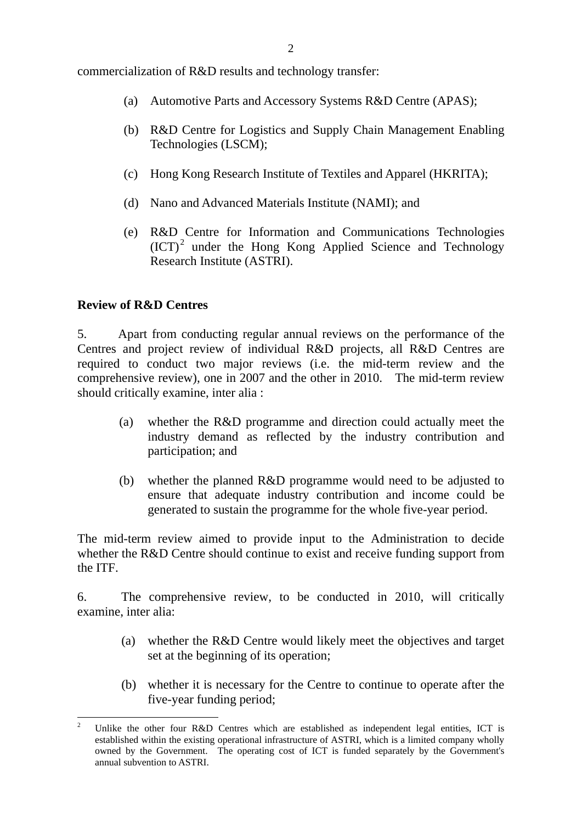commercialization of R&D results and technology transfer:

- (a) Automotive Parts and Accessory Systems R&D Centre (APAS);
- (b) R&D Centre for Logistics and Supply Chain Management Enabling Technologies (LSCM);
- (c) Hong Kong Research Institute of Textiles and Apparel (HKRITA);
- (d) Nano and Advanced Materials Institute (NAMI); and
- (e) R&D Centre for Information and Communications Technologies (ICT)<sup>2</sup> under the Hong Kong Applied Science and Technology Research Institute (ASTRI).

### **Review of R&D Centres**

5. Apart from conducting regular annual reviews on the performance of the Centres and project review of individual R&D projects, all R&D Centres are required to conduct two major reviews (i.e. the mid-term review and the comprehensive review), one in 2007 and the other in 2010. The mid-term review should critically examine, inter alia :

- (a) whether the R&D programme and direction could actually meet the industry demand as reflected by the industry contribution and participation; and
- (b) whether the planned R&D programme would need to be adjusted to ensure that adequate industry contribution and income could be generated to sustain the programme for the whole five-year period.

The mid-term review aimed to provide input to the Administration to decide whether the R&D Centre should continue to exist and receive funding support from the ITF.

6. The comprehensive review, to be conducted in 2010, will critically examine, inter alia:

- (a) whether the R&D Centre would likely meet the objectives and target set at the beginning of its operation;
- (b) whether it is necessary for the Centre to continue to operate after the five-year funding period;

 $\overline{a}$ 2 Unlike the other four R&D Centres which are established as independent legal entities, ICT is established within the existing operational infrastructure of ASTRI, which is a limited company wholly owned by the Government. The operating cost of ICT is funded separately by the Government's annual subvention to ASTRI.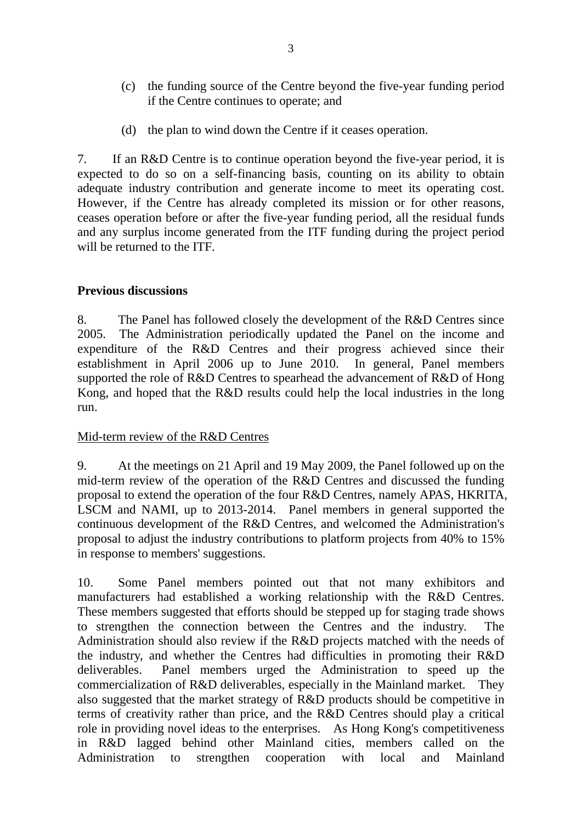- (c) the funding source of the Centre beyond the five-year funding period if the Centre continues to operate; and
- (d) the plan to wind down the Centre if it ceases operation.

7. If an R&D Centre is to continue operation beyond the five-year period, it is expected to do so on a self-financing basis, counting on its ability to obtain adequate industry contribution and generate income to meet its operating cost. However, if the Centre has already completed its mission or for other reasons, ceases operation before or after the five-year funding period, all the residual funds and any surplus income generated from the ITF funding during the project period will be returned to the ITF.

#### **Previous discussions**

8. The Panel has followed closely the development of the R&D Centres since 2005. The Administration periodically updated the Panel on the income and expenditure of the R&D Centres and their progress achieved since their establishment in April 2006 up to June 2010. In general, Panel members supported the role of R&D Centres to spearhead the advancement of R&D of Hong Kong, and hoped that the R&D results could help the local industries in the long run.

#### Mid-term review of the R&D Centres

9. At the meetings on 21 April and 19 May 2009, the Panel followed up on the mid-term review of the operation of the R&D Centres and discussed the funding proposal to extend the operation of the four R&D Centres, namely APAS, HKRITA, LSCM and NAMI, up to 2013-2014. Panel members in general supported the continuous development of the R&D Centres, and welcomed the Administration's proposal to adjust the industry contributions to platform projects from 40% to 15% in response to members' suggestions.

10. Some Panel members pointed out that not many exhibitors and manufacturers had established a working relationship with the R&D Centres. These members suggested that efforts should be stepped up for staging trade shows to strengthen the connection between the Centres and the industry. The Administration should also review if the R&D projects matched with the needs of the industry, and whether the Centres had difficulties in promoting their R&D deliverables. Panel members urged the Administration to speed up the commercialization of R&D deliverables, especially in the Mainland market. They also suggested that the market strategy of R&D products should be competitive in terms of creativity rather than price, and the R&D Centres should play a critical role in providing novel ideas to the enterprises. As Hong Kong's competitiveness in R&D lagged behind other Mainland cities, members called on the Administration to strengthen cooperation with local and Mainland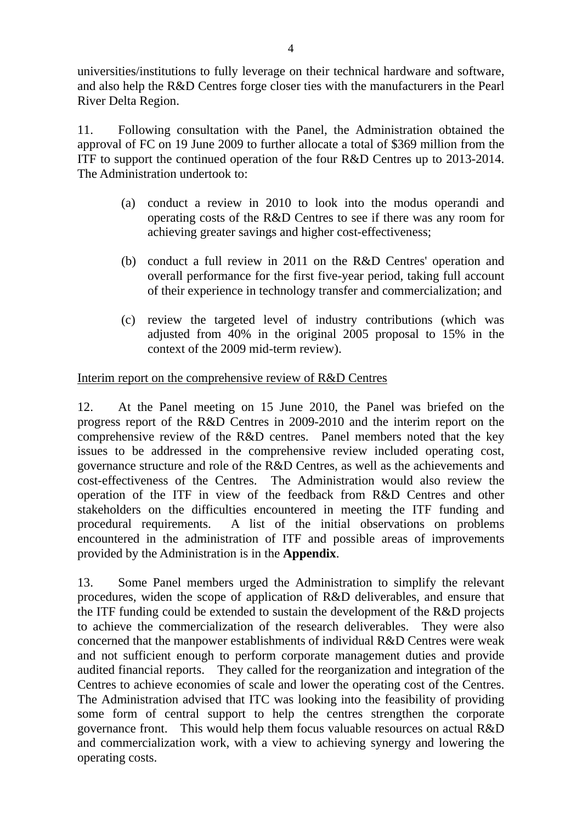universities/institutions to fully leverage on their technical hardware and software, and also help the R&D Centres forge closer ties with the manufacturers in the Pearl River Delta Region.

11. Following consultation with the Panel, the Administration obtained the approval of FC on 19 June 2009 to further allocate a total of \$369 million from the ITF to support the continued operation of the four R&D Centres up to 2013-2014. The Administration undertook to:

- (a) conduct a review in 2010 to look into the modus operandi and operating costs of the R&D Centres to see if there was any room for achieving greater savings and higher cost-effectiveness;
- (b) conduct a full review in 2011 on the R&D Centres' operation and overall performance for the first five-year period, taking full account of their experience in technology transfer and commercialization; and
- (c) review the targeted level of industry contributions (which was adjusted from 40% in the original 2005 proposal to 15% in the context of the 2009 mid-term review).

## Interim report on the comprehensive review of R&D Centres

12. At the Panel meeting on 15 June 2010, the Panel was briefed on the progress report of the R&D Centres in 2009-2010 and the interim report on the comprehensive review of the R&D centres. Panel members noted that the key issues to be addressed in the comprehensive review included operating cost, governance structure and role of the R&D Centres, as well as the achievements and cost-effectiveness of the Centres. The Administration would also review the operation of the ITF in view of the feedback from R&D Centres and other stakeholders on the difficulties encountered in meeting the ITF funding and procedural requirements. A list of the initial observations on problems encountered in the administration of ITF and possible areas of improvements provided by the Administration is in the **Appendix**.

13. Some Panel members urged the Administration to simplify the relevant procedures, widen the scope of application of R&D deliverables, and ensure that the ITF funding could be extended to sustain the development of the R&D projects to achieve the commercialization of the research deliverables. They were also concerned that the manpower establishments of individual R&D Centres were weak and not sufficient enough to perform corporate management duties and provide audited financial reports. They called for the reorganization and integration of the Centres to achieve economies of scale and lower the operating cost of the Centres. The Administration advised that ITC was looking into the feasibility of providing some form of central support to help the centres strengthen the corporate governance front. This would help them focus valuable resources on actual R&D and commercialization work, with a view to achieving synergy and lowering the operating costs.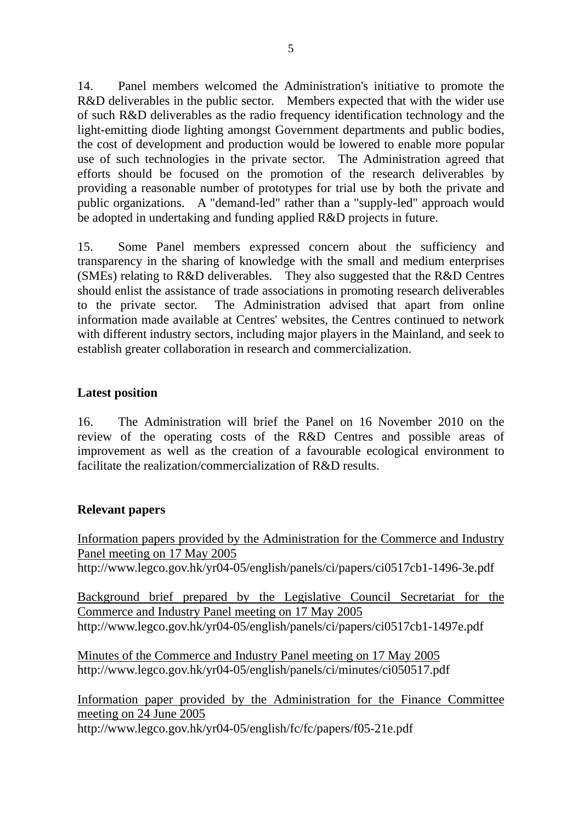14. Panel members welcomed the Administration's initiative to promote the R&D deliverables in the public sector. Members expected that with the wider use of such R&D deliverables as the radio frequency identification technology and the light-emitting diode lighting amongst Government departments and public bodies, the cost of development and production would be lowered to enable more popular use of such technologies in the private sector. The Administration agreed that efforts should be focused on the promotion of the research deliverables by providing a reasonable number of prototypes for trial use by both the private and public organizations. A "demand-led" rather than a "supply-led" approach would be adopted in undertaking and funding applied R&D projects in future.

15. Some Panel members expressed concern about the sufficiency and transparency in the sharing of knowledge with the small and medium enterprises (SMEs) relating to R&D deliverables. They also suggested that the R&D Centres should enlist the assistance of trade associations in promoting research deliverables to the private sector. The Administration advised that apart from online information made available at Centres' websites, the Centres continued to network with different industry sectors, including major players in the Mainland, and seek to establish greater collaboration in research and commercialization.

## **Latest position**

16. The Administration will brief the Panel on 16 November 2010 on the review of the operating costs of the R&D Centres and possible areas of improvement as well as the creation of a favourable ecological environment to facilitate the realization/commercialization of R&D results.

## **Relevant papers**

Information papers provided by the Administration for the Commerce and Industry Panel meeting on 17 May 2005

http://www.legco.gov.hk/yr04-05/english/panels/ci/papers/ci0517cb1-1496-3e.pdf

Background brief prepared by the Legislative Council Secretariat for the Commerce and Industry Panel meeting on 17 May 2005 http://www.legco.gov.hk/yr04-05/english/panels/ci/papers/ci0517cb1-1497e.pdf

Minutes of the Commerce and Industry Panel meeting on 17 May 2005 http://www.legco.gov.hk/yr04-05/english/panels/ci/minutes/ci050517.pdf

Information paper provided by the Administration for the Finance Committee meeting on 24 June 2005 http://www.legco.gov.hk/yr04-05/english/fc/fc/papers/f05-21e.pdf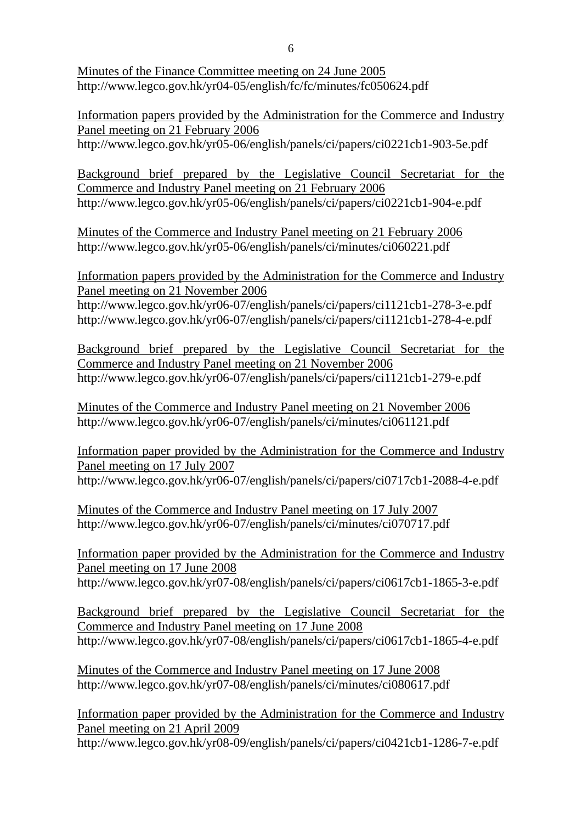Minutes of the Finance Committee meeting on 24 June 2005 http://www.legco.gov.hk/yr04-05/english/fc/fc/minutes/fc050624.pdf

Information papers provided by the Administration for the Commerce and Industry Panel meeting on 21 February 2006 http://www.legco.gov.hk/yr05-06/english/panels/ci/papers/ci0221cb1-903-5e.pdf

Background brief prepared by the Legislative Council Secretariat for the Commerce and Industry Panel meeting on 21 February 2006 http://www.legco.gov.hk/yr05-06/english/panels/ci/papers/ci0221cb1-904-e.pdf

Minutes of the Commerce and Industry Panel meeting on 21 February 2006 http://www.legco.gov.hk/yr05-06/english/panels/ci/minutes/ci060221.pdf

Information papers provided by the Administration for the Commerce and Industry Panel meeting on 21 November 2006

http://www.legco.gov.hk/yr06-07/english/panels/ci/papers/ci1121cb1-278-3-e.pdf http://www.legco.gov.hk/yr06-07/english/panels/ci/papers/ci1121cb1-278-4-e.pdf

Background brief prepared by the Legislative Council Secretariat for the Commerce and Industry Panel meeting on 21 November 2006 http://www.legco.gov.hk/yr06-07/english/panels/ci/papers/ci1121cb1-279-e.pdf

Minutes of the Commerce and Industry Panel meeting on 21 November 2006 http://www.legco.gov.hk/yr06-07/english/panels/ci/minutes/ci061121.pdf

Information paper provided by the Administration for the Commerce and Industry Panel meeting on 17 July 2007 http://www.legco.gov.hk/yr06-07/english/panels/ci/papers/ci0717cb1-2088-4-e.pdf

Minutes of the Commerce and Industry Panel meeting on 17 July 2007 http://www.legco.gov.hk/yr06-07/english/panels/ci/minutes/ci070717.pdf

Information paper provided by the Administration for the Commerce and Industry Panel meeting on 17 June 2008 http://www.legco.gov.hk/yr07-08/english/panels/ci/papers/ci0617cb1-1865-3-e.pdf

Background brief prepared by the Legislative Council Secretariat for the Commerce and Industry Panel meeting on 17 June 2008 http://www.legco.gov.hk/yr07-08/english/panels/ci/papers/ci0617cb1-1865-4-e.pdf

Minutes of the Commerce and Industry Panel meeting on 17 June 2008 http://www.legco.gov.hk/yr07-08/english/panels/ci/minutes/ci080617.pdf

Information paper provided by the Administration for the Commerce and Industry Panel meeting on 21 April 2009

http://www.legco.gov.hk/yr08-09/english/panels/ci/papers/ci0421cb1-1286-7-e.pdf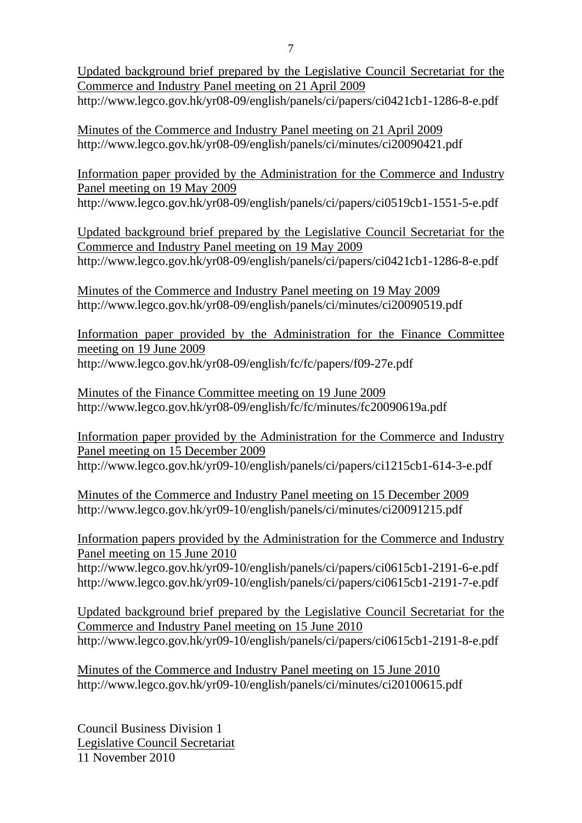Updated background brief prepared by the Legislative Council Secretariat for the Commerce and Industry Panel meeting on 21 April 2009 http://www.legco.gov.hk/yr08-09/english/panels/ci/papers/ci0421cb1-1286-8-e.pdf

Minutes of the Commerce and Industry Panel meeting on 21 April 2009 http://www.legco.gov.hk/yr08-09/english/panels/ci/minutes/ci20090421.pdf

Information paper provided by the Administration for the Commerce and Industry Panel meeting on 19 May 2009 http://www.legco.gov.hk/yr08-09/english/panels/ci/papers/ci0519cb1-1551-5-e.pdf

Updated background brief prepared by the Legislative Council Secretariat for the Commerce and Industry Panel meeting on 19 May 2009 http://www.legco.gov.hk/yr08-09/english/panels/ci/papers/ci0421cb1-1286-8-e.pdf

Minutes of the Commerce and Industry Panel meeting on 19 May 2009 http://www.legco.gov.hk/yr08-09/english/panels/ci/minutes/ci20090519.pdf

Information paper provided by the Administration for the Finance Committee meeting on 19 June 2009 http://www.legco.gov.hk/yr08-09/english/fc/fc/papers/f09-27e.pdf

Minutes of the Finance Committee meeting on 19 June 2009 http://www.legco.gov.hk/yr08-09/english/fc/fc/minutes/fc20090619a.pdf

Information paper provided by the Administration for the Commerce and Industry Panel meeting on 15 December 2009 http://www.legco.gov.hk/yr09-10/english/panels/ci/papers/ci1215cb1-614-3-e.pdf

Minutes of the Commerce and Industry Panel meeting on 15 December 2009 http://www.legco.gov.hk/yr09-10/english/panels/ci/minutes/ci20091215.pdf

Information papers provided by the Administration for the Commerce and Industry Panel meeting on 15 June 2010

http://www.legco.gov.hk/yr09-10/english/panels/ci/papers/ci0615cb1-2191-6-e.pdf http://www.legco.gov.hk/yr09-10/english/panels/ci/papers/ci0615cb1-2191-7-e.pdf

Updated background brief prepared by the Legislative Council Secretariat for the Commerce and Industry Panel meeting on 15 June 2010 http://www.legco.gov.hk/yr09-10/english/panels/ci/papers/ci0615cb1-2191-8-e.pdf

Minutes of the Commerce and Industry Panel meeting on 15 June 2010 http://www.legco.gov.hk/yr09-10/english/panels/ci/minutes/ci20100615.pdf

Council Business Division 1 Legislative Council Secretariat 11 November 2010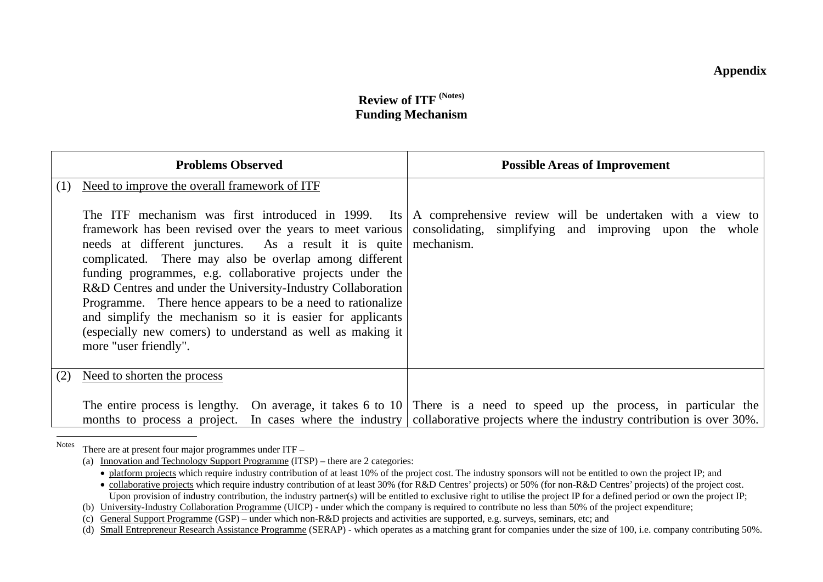# **Review of ITF (Notes) Funding Mechanism**

|     | <b>Problems Observed</b>                                                                                                                                                                                                                                                                                                                                                                                                                                                                                                                | <b>Possible Areas of Improvement</b>                                                                                                                                                                                                                          |
|-----|-----------------------------------------------------------------------------------------------------------------------------------------------------------------------------------------------------------------------------------------------------------------------------------------------------------------------------------------------------------------------------------------------------------------------------------------------------------------------------------------------------------------------------------------|---------------------------------------------------------------------------------------------------------------------------------------------------------------------------------------------------------------------------------------------------------------|
| (1) | Need to improve the overall framework of ITF                                                                                                                                                                                                                                                                                                                                                                                                                                                                                            |                                                                                                                                                                                                                                                               |
|     | framework has been revised over the years to meet various<br>needs at different junctures. As a result it is quite   mechanism.<br>complicated. There may also be overlap among different<br>funding programmes, e.g. collaborative projects under the<br>R&D Centres and under the University-Industry Collaboration<br>Programme. There hence appears to be a need to rationalize<br>and simplify the mechanism so it is easier for applicants<br>(especially new comers) to understand as well as making it<br>more "user friendly". | The ITF mechanism was first introduced in 1999. Its $ A $ comprehensive review will be undertaken with a view to<br>consolidating, simplifying and improving upon the whole                                                                                   |
| (2) | Need to shorten the process                                                                                                                                                                                                                                                                                                                                                                                                                                                                                                             |                                                                                                                                                                                                                                                               |
|     |                                                                                                                                                                                                                                                                                                                                                                                                                                                                                                                                         | The entire process is lengthy. On average, it takes 6 to $10 \mid$ There is a need to speed up the process, in particular the<br>months to process a project. In cases where the industry collaborative projects where the industry contribution is over 30%. |

NotesThere are at present four major programmes under ITF –

<sup>(</sup>a) Innovation and Technology Support Programme (ITSP) – there are 2 categories:

<sup>•</sup> platform projects which require industry contribution of at least 10% of the project cost. The industry sponsors will not be entitled to own the project IP; and

<sup>•</sup> collaborative projects which require industry contribution of at least 30% (for R&D Centres' projects) or 50% (for non-R&D Centres' projects) of the project cost. Upon provision of industry contribution, the industry partner(s) will be entitled to exclusive right to utilise the project IP for a defined period or own the project IP;

<sup>(</sup>b) University-Industry Collaboration Programme (UICP) - under which the company is required to contribute no less than 50% of the project expenditure;

<sup>(</sup>c) General Support Programme (GSP) – under which non-R&D projects and activities are supported, e.g. surveys, seminars, etc; and

<sup>(</sup>d) Small Entrepreneur Research Assistance Programme (SERAP) - which operates as a matching grant for companies under the size of 100, i.e. company contributing 50%.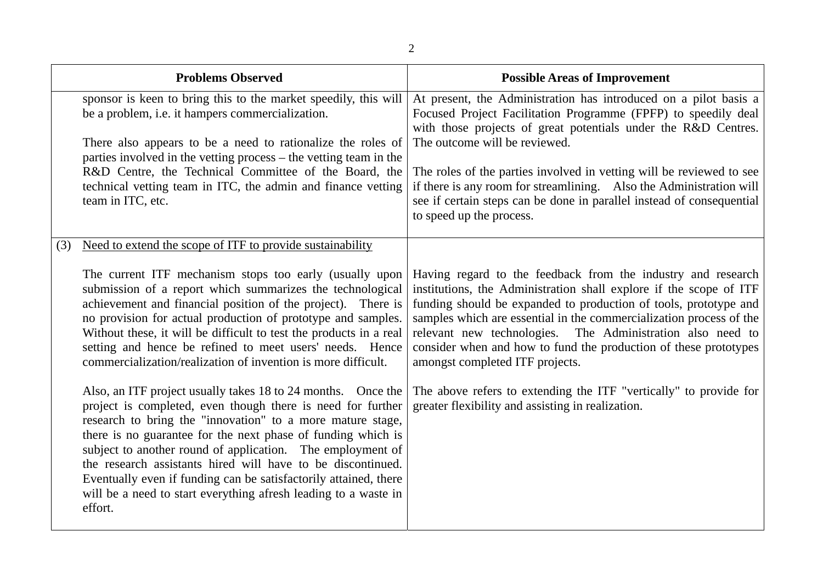|     | <b>Problems Observed</b>                                                                                                                                                                                                                                                                                                                                                                                                                                                                                                                 | <b>Possible Areas of Improvement</b>                                                                                                                                                                                                                                                                                                                                                                                                               |
|-----|------------------------------------------------------------------------------------------------------------------------------------------------------------------------------------------------------------------------------------------------------------------------------------------------------------------------------------------------------------------------------------------------------------------------------------------------------------------------------------------------------------------------------------------|----------------------------------------------------------------------------------------------------------------------------------------------------------------------------------------------------------------------------------------------------------------------------------------------------------------------------------------------------------------------------------------------------------------------------------------------------|
|     | sponsor is keen to bring this to the market speedily, this will<br>be a problem, i.e. it hampers commercialization.                                                                                                                                                                                                                                                                                                                                                                                                                      | At present, the Administration has introduced on a pilot basis a<br>Focused Project Facilitation Programme (FPFP) to speedily deal<br>with those projects of great potentials under the R&D Centres.                                                                                                                                                                                                                                               |
|     | There also appears to be a need to rationalize the roles of<br>parties involved in the vetting process - the vetting team in the                                                                                                                                                                                                                                                                                                                                                                                                         | The outcome will be reviewed.                                                                                                                                                                                                                                                                                                                                                                                                                      |
|     | R&D Centre, the Technical Committee of the Board, the<br>technical vetting team in ITC, the admin and finance vetting<br>team in ITC, etc.                                                                                                                                                                                                                                                                                                                                                                                               | The roles of the parties involved in vetting will be reviewed to see<br>if there is any room for streamlining. Also the Administration will<br>see if certain steps can be done in parallel instead of consequential<br>to speed up the process.                                                                                                                                                                                                   |
| (3) | Need to extend the scope of ITF to provide sustainability                                                                                                                                                                                                                                                                                                                                                                                                                                                                                |                                                                                                                                                                                                                                                                                                                                                                                                                                                    |
|     | The current ITF mechanism stops too early (usually upon<br>submission of a report which summarizes the technological<br>achievement and financial position of the project). There is<br>no provision for actual production of prototype and samples.<br>Without these, it will be difficult to test the products in a real<br>setting and hence be refined to meet users' needs. Hence<br>commercialization/realization of invention is more difficult.                                                                                  | Having regard to the feedback from the industry and research<br>institutions, the Administration shall explore if the scope of ITF<br>funding should be expanded to production of tools, prototype and<br>samples which are essential in the commercialization process of the<br>relevant new technologies. The Administration also need to<br>consider when and how to fund the production of these prototypes<br>amongst completed ITF projects. |
|     | Also, an ITF project usually takes 18 to 24 months. Once the<br>project is completed, even though there is need for further<br>research to bring the "innovation" to a more mature stage,<br>there is no guarantee for the next phase of funding which is<br>subject to another round of application. The employment of<br>the research assistants hired will have to be discontinued.<br>Eventually even if funding can be satisfactorily attained, there<br>will be a need to start everything afresh leading to a waste in<br>effort. | The above refers to extending the ITF "vertically" to provide for<br>greater flexibility and assisting in realization.                                                                                                                                                                                                                                                                                                                             |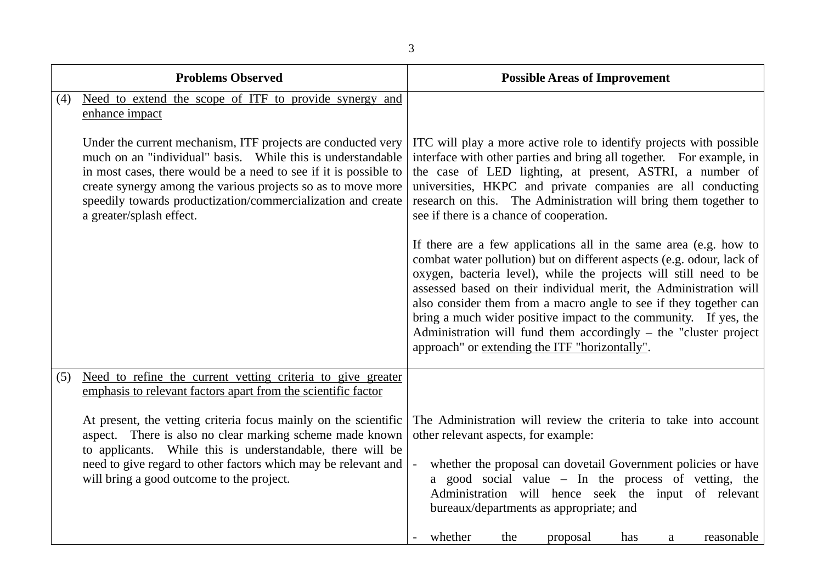| ٧            |  |
|--------------|--|
| e<br>۰.<br>× |  |

|     | <b>Problems Observed</b>                                                                                                                                                                                                                                                                                                                                    | <b>Possible Areas of Improvement</b>                                                                                                                                                                                                                                                                                                                                                                                                                                                                                                                   |
|-----|-------------------------------------------------------------------------------------------------------------------------------------------------------------------------------------------------------------------------------------------------------------------------------------------------------------------------------------------------------------|--------------------------------------------------------------------------------------------------------------------------------------------------------------------------------------------------------------------------------------------------------------------------------------------------------------------------------------------------------------------------------------------------------------------------------------------------------------------------------------------------------------------------------------------------------|
| (4) | Need to extend the scope of ITF to provide synergy and<br>enhance impact                                                                                                                                                                                                                                                                                    |                                                                                                                                                                                                                                                                                                                                                                                                                                                                                                                                                        |
|     | Under the current mechanism, ITF projects are conducted very<br>much on an "individual" basis. While this is understandable<br>in most cases, there would be a need to see if it is possible to<br>create synergy among the various projects so as to move more<br>speedily towards productization/commercialization and create<br>a greater/splash effect. | ITC will play a more active role to identify projects with possible<br>interface with other parties and bring all together. For example, in<br>the case of LED lighting, at present, ASTRI, a number of<br>universities, HKPC and private companies are all conducting<br>research on this. The Administration will bring them together to<br>see if there is a chance of cooperation.                                                                                                                                                                 |
|     |                                                                                                                                                                                                                                                                                                                                                             | If there are a few applications all in the same area (e.g. how to<br>combat water pollution) but on different aspects (e.g. odour, lack of<br>oxygen, bacteria level), while the projects will still need to be<br>assessed based on their individual merit, the Administration will<br>also consider them from a macro angle to see if they together can<br>bring a much wider positive impact to the community. If yes, the<br>Administration will fund them accordingly $-$ the "cluster project"<br>approach" or extending the ITF "horizontally". |
| (5) | Need to refine the current vetting criteria to give greater<br>emphasis to relevant factors apart from the scientific factor                                                                                                                                                                                                                                |                                                                                                                                                                                                                                                                                                                                                                                                                                                                                                                                                        |
|     | At present, the vetting criteria focus mainly on the scientific<br>aspect. There is also no clear marking scheme made known<br>to applicants. While this is understandable, there will be<br>need to give regard to other factors which may be relevant and<br>will bring a good outcome to the project.                                                    | The Administration will review the criteria to take into account<br>other relevant aspects, for example:<br>whether the proposal can dovetail Government policies or have<br>$\overline{\phantom{a}}$<br>a good social value - In the process of vetting, the<br>Administration will hence seek the input of relevant<br>bureaux/departments as appropriate; and<br>whether<br>the<br>proposal<br>reasonable<br>has<br>a                                                                                                                               |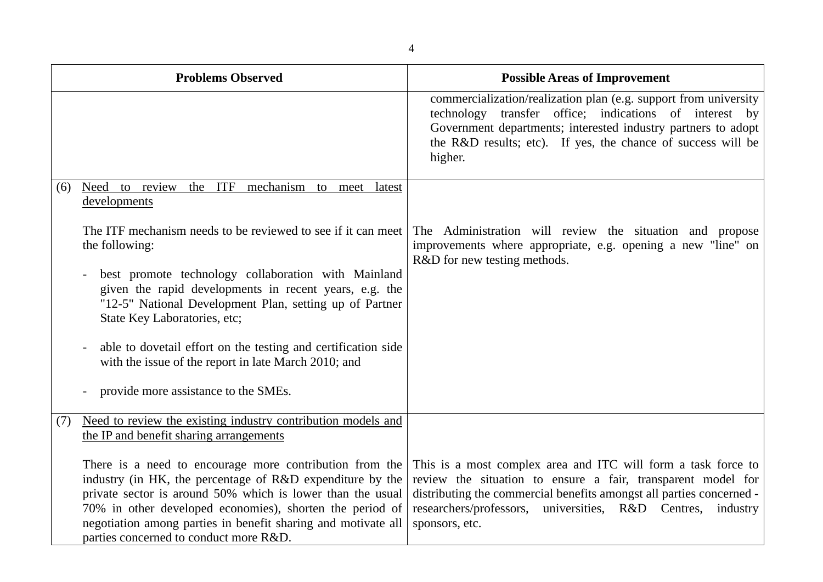|     | <b>Problems Observed</b>                                                                                                                                                                                                                                                                                                                                                                                                                                                                | <b>Possible Areas of Improvement</b>                                                                                                                                                                                                                                                      |
|-----|-----------------------------------------------------------------------------------------------------------------------------------------------------------------------------------------------------------------------------------------------------------------------------------------------------------------------------------------------------------------------------------------------------------------------------------------------------------------------------------------|-------------------------------------------------------------------------------------------------------------------------------------------------------------------------------------------------------------------------------------------------------------------------------------------|
|     |                                                                                                                                                                                                                                                                                                                                                                                                                                                                                         | commercialization/realization plan (e.g. support from university<br>technology transfer office; indications of interest by<br>Government departments; interested industry partners to adopt<br>the R&D results; etc). If yes, the chance of success will be<br>higher.                    |
| (6) | Need to review the ITF mechanism to meet latest<br>developments                                                                                                                                                                                                                                                                                                                                                                                                                         |                                                                                                                                                                                                                                                                                           |
|     | The ITF mechanism needs to be reviewed to see if it can meet<br>the following:<br>best promote technology collaboration with Mainland<br>given the rapid developments in recent years, e.g. the<br>"12-5" National Development Plan, setting up of Partner<br>State Key Laboratories, etc;<br>able to dovetail effort on the testing and certification side<br>$\overline{\phantom{a}}$<br>with the issue of the report in late March 2010; and<br>provide more assistance to the SMEs. | The Administration will review the situation and propose<br>improvements where appropriate, e.g. opening a new "line" on<br>R&D for new testing methods.                                                                                                                                  |
| (7) | Need to review the existing industry contribution models and<br>the IP and benefit sharing arrangements                                                                                                                                                                                                                                                                                                                                                                                 |                                                                                                                                                                                                                                                                                           |
|     | There is a need to encourage more contribution from the<br>industry (in HK, the percentage of R&D expenditure by the<br>private sector is around 50% which is lower than the usual<br>70% in other developed economies), shorten the period of<br>negotiation among parties in benefit sharing and motivate all<br>parties concerned to conduct more R&D.                                                                                                                               | This is a most complex area and ITC will form a task force to<br>review the situation to ensure a fair, transparent model for<br>distributing the commercial benefits amongst all parties concerned -<br>researchers/professors, universities, R&D Centres,<br>industry<br>sponsors, etc. |